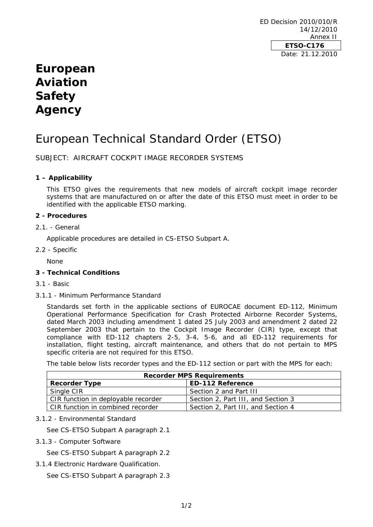ED Decision 2010/010/R 14/12/2010 Annex II **ETSO-C176**  Date: 21.12.2010

## **European Aviation Safety Agency**

# European Technical Standard Order (ETSO)

SUBJECT: AIRCRAFT COCKPIT IMAGE RECORDER SYSTEMS

## **1 – Applicability**

This ETSO gives the requirements that new models of aircraft cockpit image recorder systems that are manufactured on or after the date of this ETSO must meet in order to be identified with the applicable ETSO marking.

## **2 - Procedures**

2.1. - General

Applicable procedures are detailed in CS-ETSO Subpart A.

2.2 - Specific

None

## **3 - Technical Conditions**

- 3.1 Basic
- 3.1.1 Minimum Performance Standard

Standards set forth in the applicable sections of EUROCAE document ED-112, Minimum Operational Performance Specification for Crash Protected Airborne Recorder Systems, dated March 2003 including amendment 1 dated 25 July 2003 and amendment 2 dated 22 September 2003 that pertain to the Cockpit Image Recorder (CIR) type, except that compliance with ED-112 chapters 2-5, 3-4, 5-6, and all ED-112 requirements for installation, flight testing, aircraft maintenance, and others that do not pertain to MPS specific criteria are not required for this ETSO.

The table below lists recorder types and the ED-112 section or part with the MPS for each:

| <b>Recorder MPS Requirements</b>    |                                    |
|-------------------------------------|------------------------------------|
| <b>Recorder Type</b>                | <b>ED-112 Reference</b>            |
| Single CIR                          | Section 2 and Part III             |
| CIR function in deployable recorder | Section 2, Part III, and Section 3 |
| CIR function in combined recorder   | Section 2, Part III, and Section 4 |

3.1.2 - Environmental Standard

See CS-ETSO Subpart A paragraph 2.1

3.1.3 - Computer Software

See CS-ETSO Subpart A paragraph 2.2

3.1.4 Electronic Hardware Qualification.

See CS-ETSO Subpart A paragraph 2.3